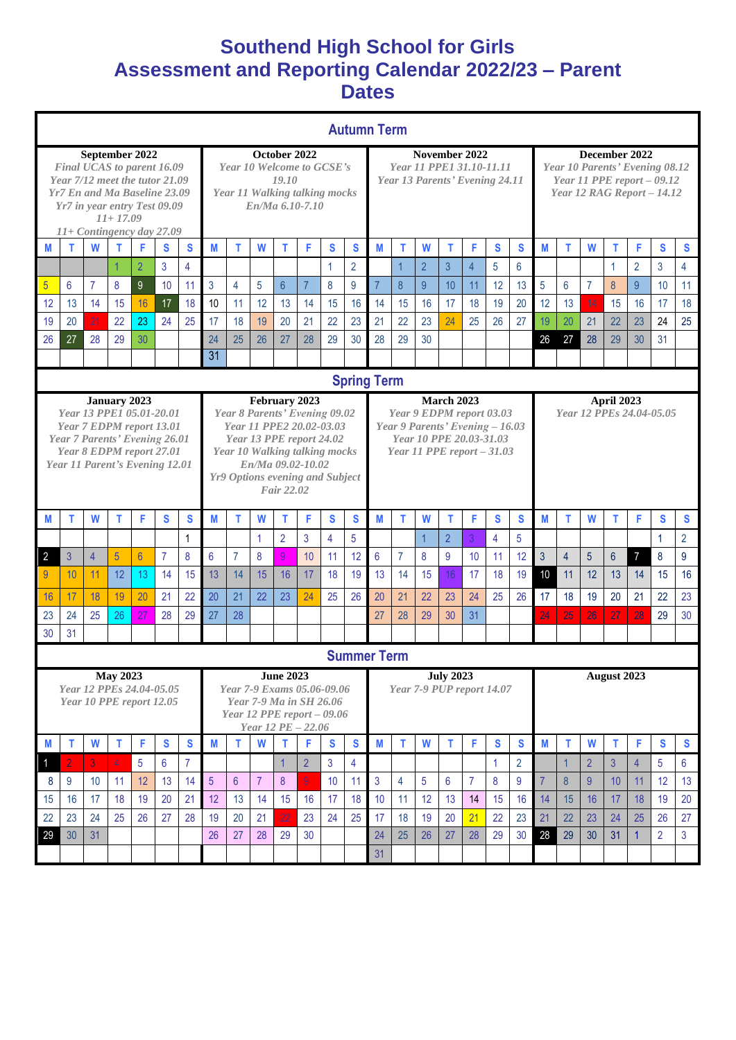## **Southend High School for Girls Assessment and Reporting Calendar 2022/23 – Parent Dates**

| <b>Autumn Term</b>                                                                                                                                                                                         |                    |                |                |                |                |              |                                                                                                        |                                                                                                                                                                                                                      |                                                              |                 |                |              |                                                                             |                                                                                                                                            |                |                |                |                                                                                                              |    |                                        |                |                |                |                |                |                |                |
|------------------------------------------------------------------------------------------------------------------------------------------------------------------------------------------------------------|--------------------|----------------|----------------|----------------|----------------|--------------|--------------------------------------------------------------------------------------------------------|----------------------------------------------------------------------------------------------------------------------------------------------------------------------------------------------------------------------|--------------------------------------------------------------|-----------------|----------------|--------------|-----------------------------------------------------------------------------|--------------------------------------------------------------------------------------------------------------------------------------------|----------------|----------------|----------------|--------------------------------------------------------------------------------------------------------------|----|----------------------------------------|----------------|----------------|----------------|----------------|----------------|----------------|----------------|
| September 2022<br>Final UCAS to parent 16.09<br>Year 7/12 meet the tutor 21.09<br>Yr7 En and Ma Baseline 23.09<br>Yr7 in year entry Test 09.09<br>$11+17.09$                                               |                    |                |                |                |                |              | October 2022<br>Year 10 Welcome to GCSE's<br>19.10<br>Year 11 Walking talking mocks<br>En/Ma 6.10-7.10 |                                                                                                                                                                                                                      |                                                              |                 |                |              | November 2022<br>Year 11 PPE1 31.10-11.11<br>Year 13 Parents' Evening 24.11 |                                                                                                                                            |                |                |                | December 2022<br>Year 10 Parents' Evening 08.12<br>Year 11 PPE report $-09.12$<br>Year 12 RAG Report - 14.12 |    |                                        |                |                |                |                |                |                |                |
| $11+$ Contingency day 27.09                                                                                                                                                                                |                    |                |                |                |                |              |                                                                                                        |                                                                                                                                                                                                                      |                                                              |                 |                |              |                                                                             |                                                                                                                                            |                |                |                |                                                                                                              |    |                                        |                |                |                |                |                |                |                |
| M                                                                                                                                                                                                          | т                  | W              | т              | F              | S              | S            | M                                                                                                      | т                                                                                                                                                                                                                    | W                                                            | T.              | F              | S            | S                                                                           | M                                                                                                                                          | T              | W              | T              | F                                                                                                            | S  | S                                      | M              | т              | W              | т              | F              | S              | $\mathbf{s}$   |
|                                                                                                                                                                                                            |                    |                | 1              | $\overline{2}$ | 3              | 4            |                                                                                                        |                                                                                                                                                                                                                      |                                                              |                 |                | $\mathbf{1}$ | $\overline{2}$                                                              |                                                                                                                                            | $\overline{1}$ | $\overline{2}$ | $\mathbf{3}$   | $\overline{4}$                                                                                               | 5  | $6\phantom{1}6$                        |                |                |                | 1              | $\overline{2}$ | 3              | $\overline{4}$ |
| 5                                                                                                                                                                                                          | 6                  | $\overline{7}$ | 8              | 9              | 10             | 11           | $\overline{3}$                                                                                         | $\overline{4}$                                                                                                                                                                                                       | 5                                                            | $6\overline{6}$ | $\overline{7}$ | 8            | 9                                                                           | $\overline{7}$                                                                                                                             | $\delta$       | 9              | 10             | 11                                                                                                           | 12 | 13                                     | 5              | 6              | 7              | 8              | 9              | 10             | 11             |
| 12                                                                                                                                                                                                         | 13                 | 14             | 15             | 16             | 17             | 18           | 10                                                                                                     | 11                                                                                                                                                                                                                   | 12                                                           | 13              | 14             | 15           | 16                                                                          | 14                                                                                                                                         | 15             | 16             | 17             | 18                                                                                                           | 19 | 20                                     | 12             | 13             | 14             | 15             | 16             | 17             | 18             |
| 19                                                                                                                                                                                                         | 20                 | 21             | 22             | 23             | 24             | 25           | 17                                                                                                     | 18                                                                                                                                                                                                                   | 19                                                           | 20              | 21             | 22           | 23                                                                          | 21                                                                                                                                         | 22             | 23             | 24             | 25                                                                                                           | 26 | 27                                     | 19             | 20             | 21             | 22             | 23             | 24             | 25             |
| 26                                                                                                                                                                                                         | 27                 | 28             | 29             | 30             |                |              | 24                                                                                                     | 25                                                                                                                                                                                                                   | 26                                                           | 27              | 28             | 29           | 30                                                                          | 28                                                                                                                                         | 29             | 30             |                |                                                                                                              |    |                                        | 26             | 27             | 28             | 29             | 30             | 31             |                |
|                                                                                                                                                                                                            |                    |                |                |                |                |              | 31                                                                                                     |                                                                                                                                                                                                                      |                                                              |                 |                |              |                                                                             |                                                                                                                                            |                |                |                |                                                                                                              |    |                                        |                |                |                |                |                |                |                |
|                                                                                                                                                                                                            | <b>Spring Term</b> |                |                |                |                |              |                                                                                                        |                                                                                                                                                                                                                      |                                                              |                 |                |              |                                                                             |                                                                                                                                            |                |                |                |                                                                                                              |    |                                        |                |                |                |                |                |                |                |
| <b>January 2023</b><br>Year 13 PPE1 05.01-20.01<br>Year 7 EDPM report 13.01<br>Year 7 Parents' Evening 26.01<br>Year 8 EDPM report 27.01<br>Year 11 Parent's Evening 12.01                                 |                    |                |                |                |                |              |                                                                                                        | February 2023<br>Year 8 Parents' Evening 09.02<br>Year 11 PPE2 20.02-03.03<br>Year 13 PPE report 24.02<br>Year 10 Walking talking mocks<br>En/Ma 09.02-10.02<br><b>Yr9 Options evening and Subject</b><br>Fair 22.02 |                                                              |                 |                |              |                                                                             | <b>March 2023</b><br>Year 9 EDPM report 03.03<br>Year 9 Parents' Evening - 16.03<br>Year 10 PPE 20.03-31.03<br>Year 11 PPE report $-31.03$ |                |                |                |                                                                                                              |    | April 2023<br>Year 12 PPEs 24.04-05.05 |                |                |                |                |                |                |                |
| M                                                                                                                                                                                                          | T                  | W              | т              | F              | S              | S            | M                                                                                                      | т                                                                                                                                                                                                                    | W                                                            | т               | F              | S            | S                                                                           | M                                                                                                                                          | т              | W              | т              | F                                                                                                            | S  | S                                      | M              | т              | W              | т              | F              | S              | $\mathbf{s}$   |
|                                                                                                                                                                                                            |                    |                |                |                |                | $\mathbf{1}$ |                                                                                                        |                                                                                                                                                                                                                      | $\mathbf{1}$                                                 | $\overline{2}$  | 3              | 4            | 5                                                                           |                                                                                                                                            |                | $\mathbf 1$    | $\overline{2}$ | 3                                                                                                            | 4  | 5                                      |                |                |                |                |                | 1              | $\overline{2}$ |
| $\overline{2}$                                                                                                                                                                                             | 3                  | $\overline{4}$ | 5              | $6\phantom{a}$ | $\overline{7}$ | 8            | $6\phantom{1}$                                                                                         | $\overline{7}$                                                                                                                                                                                                       | 8                                                            | 9               | 10             | 11           | 12                                                                          | 6                                                                                                                                          | $\overline{7}$ | 8              | 9              | 10                                                                                                           | 11 | 12                                     | 3              | $\overline{4}$ | 5              | $6\phantom{1}$ | $\overline{7}$ | 8              | 9              |
| 9                                                                                                                                                                                                          | 10                 | 11             | 12             | 13             | 14             | 15           | 13                                                                                                     | 14                                                                                                                                                                                                                   | 15                                                           | 16              | 17             | 18           | 19                                                                          | 13                                                                                                                                         | 14             | 15             | 16             | 17                                                                                                           | 18 | 19                                     | 10             | 11             | 12             | 13             | 14             | 15             | 16             |
| 16                                                                                                                                                                                                         | 17                 | 18             | 19             | 20             | 21             | 22           | 20                                                                                                     | 21                                                                                                                                                                                                                   | 22                                                           | 23              | 24             | 25           | 26                                                                          | 20                                                                                                                                         | 21             | 22             | 23             | 24                                                                                                           | 25 | 26                                     | 17             | 18             | 19             | 20             | 21             | 22             | 23             |
| 23                                                                                                                                                                                                         | 24                 | 25             | 26             | 27             | 28             | 29           | 27                                                                                                     | 28                                                                                                                                                                                                                   |                                                              |                 |                |              |                                                                             | 27                                                                                                                                         | 28             | 29             | 30             | 31                                                                                                           |    |                                        | 24             | 25             | 26             | 27             | 28             | 29             | 30             |
| 30                                                                                                                                                                                                         | 31                 |                |                |                |                |              |                                                                                                        |                                                                                                                                                                                                                      |                                                              |                 |                |              |                                                                             |                                                                                                                                            |                |                |                |                                                                                                              |    |                                        |                |                |                |                |                |                |                |
|                                                                                                                                                                                                            |                    |                |                |                |                |              |                                                                                                        |                                                                                                                                                                                                                      |                                                              |                 |                |              | <b>Summer Term</b>                                                          |                                                                                                                                            |                |                |                |                                                                                                              |    |                                        |                |                |                |                |                |                |                |
| <b>June 2023</b><br><b>May 2023</b><br>Year 12 PPEs 24.04-05.05<br>Year 7-9 Exams 05.06-09.06<br>Year 10 PPE report 12.05<br>Year 7-9 Ma in SH 26.06<br>Year 12 PPE report $-09.06$<br>Year 12 PE $-22.06$ |                    |                |                |                |                |              |                                                                                                        |                                                                                                                                                                                                                      | <b>July 2023</b><br>August 2023<br>Year 7-9 PUP report 14.07 |                 |                |              |                                                                             |                                                                                                                                            |                |                |                |                                                                                                              |    |                                        |                |                |                |                |                |                |                |
| M                                                                                                                                                                                                          | т                  | W              | $\mathsf{T}$   | F              | S              | S            | M                                                                                                      | т                                                                                                                                                                                                                    | W                                                            | T.              | F              | S            | $\mathbf{s}$                                                                | M                                                                                                                                          | т              | W              | T              | F                                                                                                            | S  | S                                      | M              | т              | W              | т              | F              | S              | $\mathbf{s}$   |
|                                                                                                                                                                                                            |                    | 3              | $\overline{4}$ | 5              | 6              | 7            |                                                                                                        |                                                                                                                                                                                                                      |                                                              | 1               | $\overline{2}$ | 3            | 4                                                                           |                                                                                                                                            |                |                |                |                                                                                                              | 1  | $\overline{2}$                         |                |                | $\overline{2}$ | $\mathfrak{S}$ | $\overline{4}$ | 5              | $6\phantom{1}$ |
| 8                                                                                                                                                                                                          | 9                  | 10             | 11             | 12             | 13             | 14           | $\overline{5}$                                                                                         | 6                                                                                                                                                                                                                    | $\overline{7}$                                               | 8               | 9              | 10           | 11                                                                          | $\mathbf{3}$                                                                                                                               | 4              | 5              | 6              | $\overline{7}$                                                                                               | 8  | 9                                      | $\overline{7}$ | 8              | $\overline{9}$ | 10             | 11             | 12             | 13             |
| 15                                                                                                                                                                                                         | 16                 | 17             | 18             | 19             | 20             | 21           | 12                                                                                                     | 13                                                                                                                                                                                                                   | 14                                                           | 15              | 16             | 17           | 18                                                                          | 10                                                                                                                                         | 11             | 12             | 13             | 14                                                                                                           | 15 | 16                                     | 14             | 15             | 16             | 17             | 18             | 19             | 20             |
| 22                                                                                                                                                                                                         | 23                 | 24             | 25             | 26             | 27             | 28           | 19                                                                                                     | 20                                                                                                                                                                                                                   | 21                                                           | 22              | 23             | 24           | 25                                                                          | 17                                                                                                                                         | 18             | 19             | 20             | 21                                                                                                           | 22 | 23                                     | 21             | 22             | 23             | 24             | 25             | 26             | 27             |
| 29                                                                                                                                                                                                         | 30                 | 31             |                |                |                |              | 26                                                                                                     | 27                                                                                                                                                                                                                   | 28                                                           | 29              | 30             |              |                                                                             | 24                                                                                                                                         | 25             | 26             | 27             | 28                                                                                                           | 29 | 30                                     | 28             | 29             | 30             | 31             | $\overline{1}$ | $\overline{2}$ | $\mathbf{3}$   |
|                                                                                                                                                                                                            |                    |                |                |                |                |              |                                                                                                        |                                                                                                                                                                                                                      |                                                              |                 |                |              |                                                                             | 31                                                                                                                                         |                |                |                |                                                                                                              |    |                                        |                |                |                |                |                |                |                |